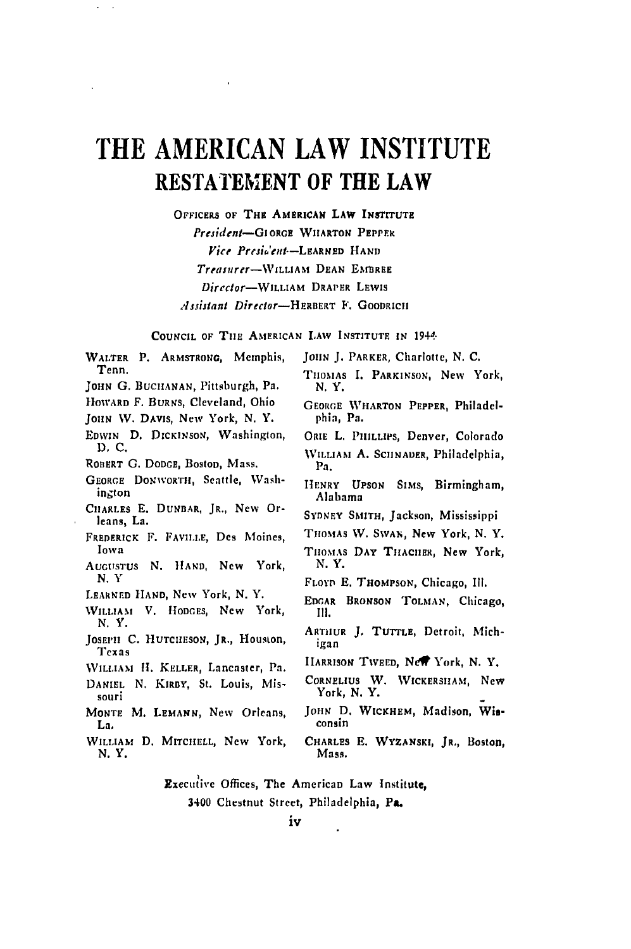# **THE AMERICAN LAW INSTITUTE RESTATEMENT** OF THE LAW

 $\bar{\phantom{a}}$ 

 $\omega_{\rm{max}}$ 

**OFFICERS OF THE AMERICAN LAW INSTITUTE** President-GIORGE WHARTON PEPPER *Vice* Preident--LARNED **HAND** *Treasurrr-WILLIAm* **DEAN** EhMREE *Director-WILLIAM* DRAPER LEWIS

lijiant Director-HERBERT **F.** GOODRICH

#### **COUNCIL OF** TilE AMERICAN LAW INSTITUTE **IN** 1944.

| WALTER P. ARMSTRONG, Memphis,<br>Tenn.<br>JOHN G. BUCHANAN, Pittsburgh, Pa.<br>Howard F. BURNS, Cleveland, Ohio<br>JOHN W. DAVIS, New York, N. Y.<br>EDWIN D. DICKINSON, Washington,<br>D. C.<br>ROBERT G. DODGE, Boston, Mass.<br>GEORGE DONWORTH, Seattle, Wash-<br>ington<br>CHARLES E. DUNBAR, JR., New Or-<br>leans, La.<br>FREDERICK F. FAVILLE, Des Moines,<br>Iowa<br>AUGUSTUS N. HAND, New York,<br>N.Y<br>Learned Hand, New York, N.Y.<br>WILLIAM V. HODGES, New York,<br>N.Y.<br>JOSEPH C. HUTCHESON, JR., Houston,<br>Texas<br>WILLIAM H. KELLER, Lancaster, Pa.<br>DANIEL N. KIRBY, St. Louis, Mis-<br>souri<br>MONTE M. LEMANN, New Orleans,<br>La. | JOHN J. PARKER, Charlotte, N. C.<br>THOMAS I. PARKINSON, New York,<br>N.Y.<br>GEORGE WHARTON PEPPER, Philadel-<br>phia, Pa.<br>ORIE L. PHILLIPS, Denver, Colorado<br>WILLIAM A. SCHNADER, Philadelphia,<br>Pa.<br>HENRY UPSON SIMS, Birmingham,<br>Alabama<br>SYDNEY SMITH, Jackson, Mississippi<br>Thomas W. Swan, New York, N. Y.<br>THOMAS DAY THACHER, New York,<br>N.Y.<br>FLOYD E. THOMPSON, Chicago, Ill.<br>EDGAR BRONSON TOLMAN, Chicago,<br>III.<br>ARTHUR J. TUTTLE, Detroit, Mich-<br>igan<br>HARRISON TWEED, New York, N.Y.<br>CORNELIUS W. WICKERSHAM, New<br>York, N.Y.<br>JOHN D. WICKHEM, Madison, Wis-<br>consin |
|-------------------------------------------------------------------------------------------------------------------------------------------------------------------------------------------------------------------------------------------------------------------------------------------------------------------------------------------------------------------------------------------------------------------------------------------------------------------------------------------------------------------------------------------------------------------------------------------------------------------------------------------------------------------|------------------------------------------------------------------------------------------------------------------------------------------------------------------------------------------------------------------------------------------------------------------------------------------------------------------------------------------------------------------------------------------------------------------------------------------------------------------------------------------------------------------------------------------------------------------------------------------------------------------------------------|
| WILLIAM D. MITCHELL, New York,                                                                                                                                                                                                                                                                                                                                                                                                                                                                                                                                                                                                                                    |                                                                                                                                                                                                                                                                                                                                                                                                                                                                                                                                                                                                                                    |
| N.Y.                                                                                                                                                                                                                                                                                                                                                                                                                                                                                                                                                                                                                                                              | CHARLES E. WYZANSKI, JR., Boston,<br>Mass.                                                                                                                                                                                                                                                                                                                                                                                                                                                                                                                                                                                         |

Executive Offices, The American Law Institute, 3400 Chestnut Street, Philadelphia, Pa.

 $\ddot{\phantom{a}}$